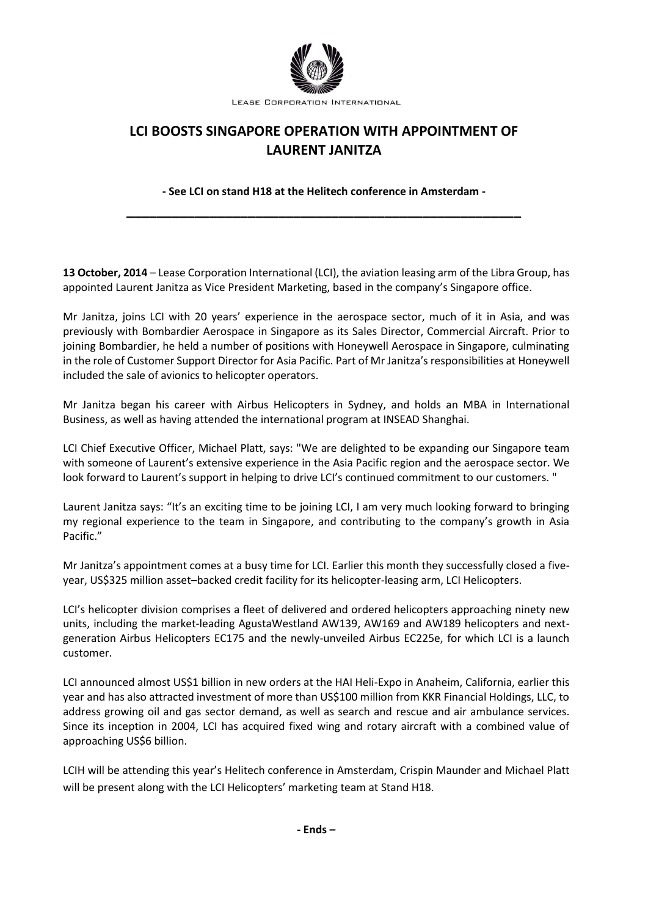

LEASE CORPORATION INTERNATIONAL

## **LCI BOOSTS SINGAPORE OPERATION WITH APPOINTMENT OF LAURENT JANITZA**

**- See LCI on stand H18 at the Helitech conference in Amsterdam - \_\_\_\_\_\_\_\_\_\_\_\_\_\_\_\_\_\_\_\_\_\_\_\_\_\_\_\_\_\_\_\_\_\_\_\_\_\_\_\_\_\_\_\_\_\_\_\_\_\_\_\_**

**13 October, 2014** – Lease Corporation International (LCI), the aviation leasing arm of the Libra Group, has appointed Laurent Janitza as Vice President Marketing, based in the company's Singapore office.

Mr Janitza, joins LCI with 20 years' experience in the aerospace sector, much of it in Asia, and was previously with Bombardier Aerospace in Singapore as its Sales Director, Commercial Aircraft. Prior to joining Bombardier, he held a number of positions with Honeywell Aerospace in Singapore, culminating in the role of Customer Support Director for Asia Pacific. Part of Mr Janitza's responsibilities at Honeywell included the sale of avionics to helicopter operators.

Mr Janitza began his career with Airbus Helicopters in Sydney, and holds an MBA in International Business, as well as having attended the international program at INSEAD Shanghai.

LCI Chief Executive Officer, Michael Platt, says: "We are delighted to be expanding our Singapore team with someone of Laurent's extensive experience in the Asia Pacific region and the aerospace sector. We look forward to Laurent's support in helping to drive LCI's continued commitment to our customers. "

Laurent Janitza says: "It's an exciting time to be joining LCI, I am very much looking forward to bringing my regional experience to the team in Singapore, and contributing to the company's growth in Asia Pacific."

Mr Janitza's appointment comes at a busy time for LCI. Earlier this month they successfully closed a fiveyear, US\$325 million asset–backed credit facility for its helicopter-leasing arm, LCI Helicopters.

LCI's helicopter division comprises a fleet of delivered and ordered helicopters approaching ninety new units, including the market-leading AgustaWestland AW139, AW169 and AW189 helicopters and nextgeneration Airbus Helicopters EC175 and the newly-unveiled Airbus EC225e, for which LCI is a launch customer.

LCI announced almost US\$1 billion in new orders at the HAI Heli-Expo in Anaheim, California, earlier this year and has also attracted investment of more than US\$100 million from KKR Financial Holdings, LLC, to address growing oil and gas sector demand, as well as search and rescue and air ambulance services. Since its inception in 2004, LCI has acquired fixed wing and rotary aircraft with a combined value of approaching US\$6 billion.

LCIH will be attending this year's Helitech conference in Amsterdam, Crispin Maunder and Michael Platt will be present along with the LCI Helicopters' marketing team at Stand H18.